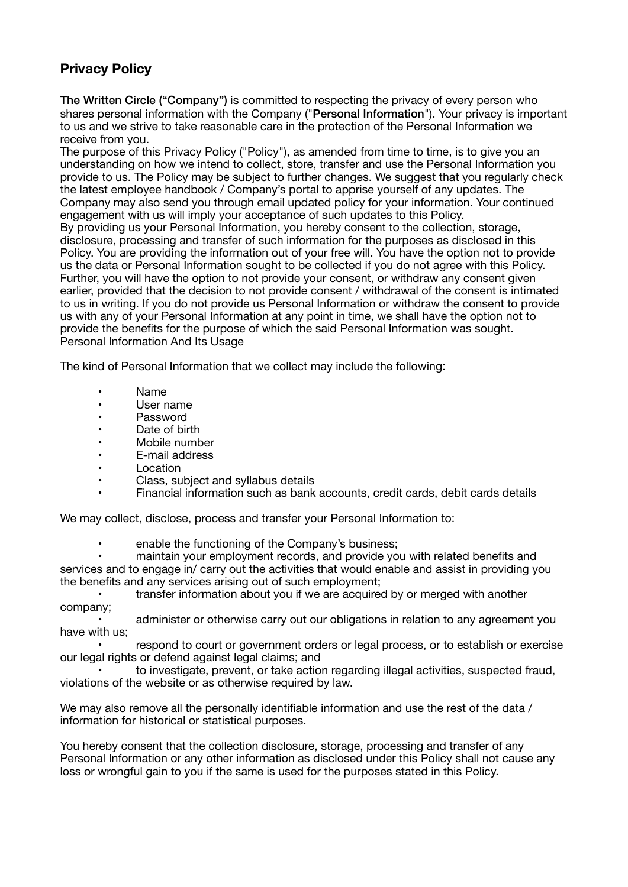# **Privacy Policy**

The Written Circle ("Company") is committed to respecting the privacy of every person who shares personal information with the Company ("Personal Information"). Your privacy is important to us and we strive to take reasonable care in the protection of the Personal Information we receive from you.

The purpose of this Privacy Policy ("Policy"), as amended from time to time, is to give you an understanding on how we intend to collect, store, transfer and use the Personal Information you provide to us. The Policy may be subject to further changes. We suggest that you regularly check the latest employee handbook / Company's portal to apprise yourself of any updates. The Company may also send you through email updated policy for your information. Your continued engagement with us will imply your acceptance of such updates to this Policy. By providing us your Personal Information, you hereby consent to the collection, storage, disclosure, processing and transfer of such information for the purposes as disclosed in this Policy. You are providing the information out of your free will. You have the option not to provide us the data or Personal Information sought to be collected if you do not agree with this Policy. Further, you will have the option to not provide your consent, or withdraw any consent given earlier, provided that the decision to not provide consent / withdrawal of the consent is intimated to us in writing. If you do not provide us Personal Information or withdraw the consent to provide us with any of your Personal Information at any point in time, we shall have the option not to provide the benefits for the purpose of which the said Personal Information was sought. Personal Information And Its Usage

The kind of Personal Information that we collect may include the following:

- Name
- • User name
- • Password
- • Date of birth
- • Mobile number
- • E-mail address
- • Location
- Class, subject and syllabus details
- Financial information such as bank accounts, credit cards, debit cards details

We may collect, disclose, process and transfer your Personal Information to:

enable the functioning of the Company's business:

maintain your employment records, and provide you with related benefits and services and to engage in/ carry out the activities that would enable and assist in providing you the benefits and any services arising out of such employment;

transfer information about you if we are acquired by or merged with another company;

administer or otherwise carry out our obligations in relation to any agreement you have with us;

respond to court or government orders or legal process, or to establish or exercise our legal rights or defend against legal claims; and

to investigate, prevent, or take action regarding illegal activities, suspected fraud, violations of the website or as otherwise required by law.

We may also remove all the personally identifiable information and use the rest of the data / information for historical or statistical purposes.

You hereby consent that the collection disclosure, storage, processing and transfer of any Personal Information or any other information as disclosed under this Policy shall not cause any loss or wrongful gain to you if the same is used for the purposes stated in this Policy.